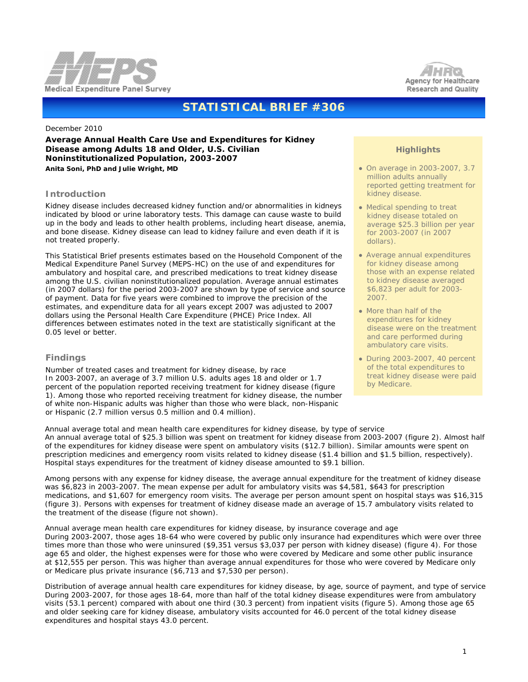



# **STATISTICAL BRIEF #306**

#### December 2010

**Average Annual Health Care Use and Expenditures for Kidney Disease among Adults 18 and Older, U.S. Civilian Noninstitutionalized Population, 2003-2007** *Anita Soni, PhD and Julie Wright, MD*

# **Introduction**

Kidney disease includes decreased kidney function and/or abnormalities in kidneys indicated by blood or urine laboratory tests. This damage can cause waste to build up in the body and leads to other health problems, including heart disease, anemia, and bone disease. Kidney disease can lead to kidney failure and even death if it is not treated properly.

This Statistical Brief presents estimates based on the Household Component of the Medical Expenditure Panel Survey (MEPS-HC) on the use of and expenditures for ambulatory and hospital care, and prescribed medications to treat kidney disease among the U.S. civilian noninstitutionalized population. Average annual estimates (in 2007 dollars) for the period 2003-2007 are shown by type of service and source of payment. Data for five years were combined to improve the precision of the estimates, and expenditure data for all years except 2007 was adjusted to 2007 dollars using the Personal Health Care Expenditure (PHCE) Price Index. All differences between estimates noted in the text are statistically significant at the 0.05 level or better.

# **Findings**

*Number of treated cases and treatment for kidney disease, by race* In 2003-2007, an average of 3.7 million U.S. adults ages 18 and older or 1.7 percent of the population reported receiving treatment for kidney disease (figure 1). Among those who reported receiving treatment for kidney disease, the number of white non-Hispanic adults was higher than those who were black, non-Hispanic or Hispanic (2.7 million versus 0.5 million and 0.4 million).

# **Highlights**

- On average in 2003-2007, 3.7 million adults annually reported getting treatment for kidney disease.
- Medical spending to treat kidney disease totaled on average \$25.3 billion per year for 2003-2007 (in 2007 dollars).
- Average annual expenditures for kidney disease among those with an expense related to kidney disease averaged \$6,823 per adult for 2003- 2007.
- More than half of the expenditures for kidney disease were on the treatment and care performed during ambulatory care visits.
- During 2003-2007, 40 percent of the total expenditures to treat kidney disease were paid by Medicare.

*Annual average total and mean health care expenditures for kidney disease, by type of service* An annual average total of \$25.3 billion was spent on treatment for kidney disease from 2003-2007 (figure 2). Almost half of the expenditures for kidney disease were spent on ambulatory visits (\$12.7 billion). Similar amounts were spent on prescription medicines and emergency room visits related to kidney disease (\$1.4 billion and \$1.5 billion, respectively). Hospital stays expenditures for the treatment of kidney disease amounted to \$9.1 billion.

 Among persons with any expense for kidney disease, the average annual expenditure for the treatment of kidney disease was \$6,823 in 2003-2007. The mean expense per adult for ambulatory visits was \$4,581, \$643 for prescription medications, and \$1,607 for emergency room visits. The average per person amount spent on hospital stays was \$16,315 (figure 3). Persons with expenses for treatment of kidney disease made an average of 15.7 ambulatory visits related to the treatment of the disease (figure not shown).

#### *Annual average mean health care expenditures for kidney disease, by insurance coverage and age*

 During 2003-2007, those ages 18-64 who were covered by public only insurance had expenditures which were over three times more than those who were uninsured (\$9,351 versus \$3,037 per person with kidney disease) (figure 4). For those age 65 and older, the highest expenses were for those who were covered by Medicare and some other public insurance at \$12,555 per person. This was higher than average annual expenditures for those who were covered by Medicare only or Medicare plus private insurance (\$6,713 and \$7,530 per person).

*Distribution of average annual health care expenditures for kidney disease, by age, source of payment, and type of service* During 2003-2007, for those ages 18-64, more than half of the total kidney disease expenditures were from ambulatory visits (53.1 percent) compared with about one third (30.3 percent) from inpatient visits (figure 5). Among those age 65 and older seeking care for kidney disease, ambulatory visits accounted for 46.0 percent of the total kidney disease expenditures and hospital stays 43.0 percent.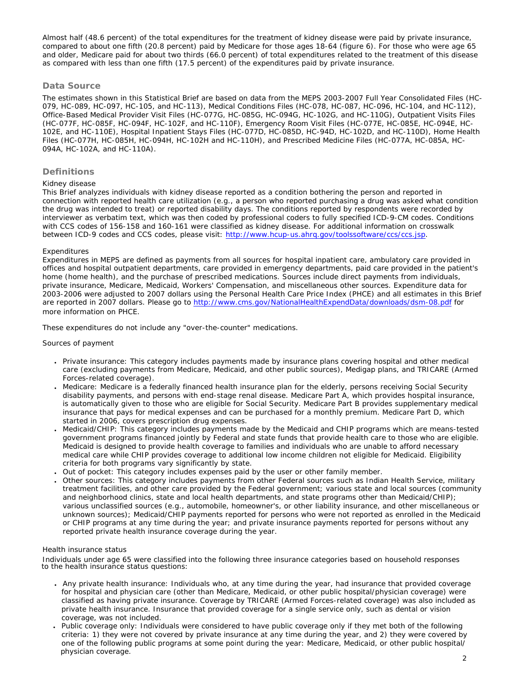Almost half (48.6 percent) of the total expenditures for the treatment of kidney disease were paid by private insurance, compared to about one fifth (20.8 percent) paid by Medicare for those ages 18-64 (figure 6). For those who were age 65 and older, Medicare paid for about two thirds (66.0 percent) of total expenditures related to the treatment of this disease as compared with less than one fifth (17.5 percent) of the expenditures paid by private insurance.

### **Data Source**

The estimates shown in this Statistical Brief are based on data from the MEPS 2003-2007 Full Year Consolidated Files (HC-079, HC-089, HC-097, HC-105, and HC-113), Medical Conditions Files (HC-078, HC-087, HC-096, HC-104, and HC-112), Office-Based Medical Provider Visit Files (HC-077G, HC-085G, HC-094G, HC-102G, and HC-110G), Outpatient Visits Files (HC-077F, HC-085F, HC-094F, HC-102F, and HC-110F), Emergency Room Visit Files (HC-077E, HC-085E, HC-094E, HC-102E, and HC-110E), Hospital Inpatient Stays Files (HC-077D, HC-085D, HC-94D, HC-102D, and HC-110D), Home Health Files (HC-077H, HC-085H, HC-094H, HC-102H and HC-110H), and Prescribed Medicine Files (HC-077A, HC-085A, HC-094A, HC-102A, and HC-110A).

# **Definitions**

#### *Kidney disease*

This Brief analyzes individuals with kidney disease reported as a condition bothering the person and reported in connection with reported health care utilization (e.g., a person who reported purchasing a drug was asked what condition the drug was intended to treat) or reported disability days. The conditions reported by respondents were recorded by interviewer as verbatim text, which was then coded by professional coders to fully specified ICD-9-CM codes. Conditions with CCS codes of 156-158 and 160-161 were classified as kidney disease. For additional information on crosswalk between ICD-9 codes and CCS codes, please visit: <http://www.hcup-us.ahrq.gov/toolssoftware/ccs/ccs.jsp>.

#### *Expenditures*

Expenditures in MEPS are defined as payments from all sources for hospital inpatient care, ambulatory care provided in offices and hospital outpatient departments, care provided in emergency departments, paid care provided in the patient's home (home health), and the purchase of prescribed medications. Sources include direct payments from individuals, private insurance, Medicare, Medicaid, Workers' Compensation, and miscellaneous other sources. Expenditure data for 2003-2006 were adjusted to 2007 dollars using the Personal Health Care Price Index (PHCE) and all estimates in this Brief are reported in 2007 dollars. Please go to <http://www.cms.gov/NationalHealthExpendData/downloads/dsm-08.pdf>for more information on PHCE.

These expenditures do not include any "over-the-counter" medications.

#### *Sources of payment*

- Private insurance: This category includes payments made by insurance plans covering hospital and other medical care (excluding payments from Medicare, Medicaid, and other public sources), Medigap plans, and TRICARE (Armed Forces-related coverage).
- Medicare: Medicare is a federally financed health insurance plan for the elderly, persons receiving Social Security disability payments, and persons with end-stage renal disease. Medicare Part A, which provides hospital insurance, is automatically given to those who are eligible for Social Security. Medicare Part B provides supplementary medical insurance that pays for medical expenses and can be purchased for a monthly premium. Medicare Part D, which started in 2006, covers prescription drug expenses.
- Medicaid/CHIP: This category includes payments made by the Medicaid and CHIP programs which are means-tested government programs financed jointly by Federal and state funds that provide health care to those who are eligible. Medicaid is designed to provide health coverage to families and individuals who are unable to afford necessary medical care while CHIP provides coverage to additional low income children not eligible for Medicaid. Eligibility criteria for both programs vary significantly by state.
- Out of pocket: This category includes expenses paid by the user or other family member.
- Other sources: This category includes payments from other Federal sources such as Indian Health Service, military treatment facilities, and other care provided by the Federal government; various state and local sources (community and neighborhood clinics, state and local health departments, and state programs other than Medicaid/CHIP); various unclassified sources (e.g., automobile, homeowner's, or other liability insurance, and other miscellaneous or unknown sources); Medicaid/CHIP payments reported for persons who were not reported as enrolled in the Medicaid or CHIP programs at any time during the year; and private insurance payments reported for persons without any reported private health insurance coverage during the year.

#### *Health insurance status*

Individuals under age 65 were classified into the following three insurance categories based on household responses to the health insurance status questions:

- Any private health insurance: Individuals who, at any time during the year, had insurance that provided coverage for hospital and physician care (other than Medicare, Medicaid, or other public hospital/physician coverage) were classified as having private insurance. Coverage by TRICARE (Armed Forces-related coverage) was also included as private health insurance. Insurance that provided coverage for a single service only, such as dental or vision coverage, was not included.
- Public coverage only: Individuals were considered to have public coverage only if they met both of the following criteria: 1) they were not covered by private insurance at any time during the year, and 2) they were covered by one of the following public programs at some point during the year: Medicare, Medicaid, or other public hospital/ physician coverage.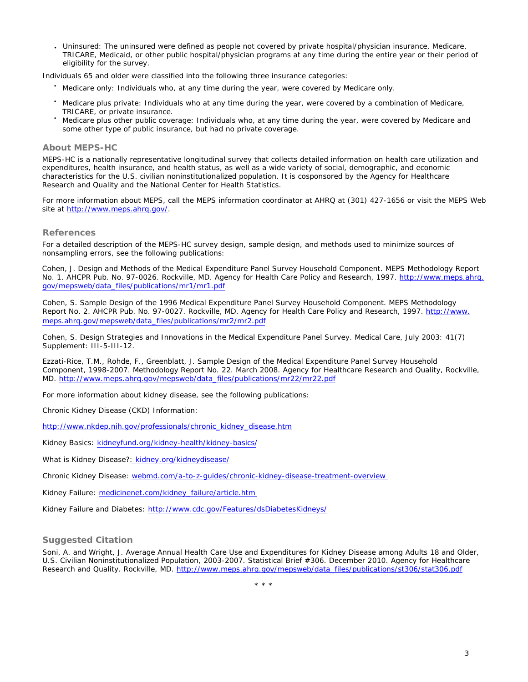● Uninsured: The uninsured were defined as people not covered by private hospital/physician insurance, Medicare, TRICARE, Medicaid, or other public hospital/physician programs at any time during the entire year or their period of eligibility for the survey.

Individuals 65 and older were classified into the following three insurance categories:

- Medicare only: Individuals who, at any time during the year, were covered by Medicare only.
- Medicare plus private: Individuals who at any time during the year, were covered by a combination of Medicare, TRICARE, or private insurance.
- Medicare plus other public coverage: Individuals who, at any time during the year, were covered by Medicare and some other type of public insurance, but had no private coverage.

#### **About MEPS-HC**

 MEPS-HC is a nationally representative longitudinal survey that collects detailed information on health care utilization and expenditures, health insurance, and health status, as well as a wide variety of social, demographic, and economic characteristics for the U.S. civilian noninstitutionalized population. It is cosponsored by the Agency for Healthcare Research and Quality and the National Center for Health Statistics.

 For more information about MEPS, call the MEPS information coordinator at AHRQ at (301) 427-1656 or visit the MEPS Web site at [http://www.meps.ahrq.gov/.](http://www.meps.ahrq.gov/)

#### **References**

 For a detailed description of the MEPS-HC survey design, sample design, and methods used to minimize sources of nonsampling errors, see the following publications:

 Cohen, J. *Design and Methods of the Medical Expenditure Panel Survey Household Component*. MEPS Methodology Report No. 1. AHCPR Pub. No. 97-0026. Rockville, MD. Agency for Health Care Policy and Research, 1997. http://www.meps.ahrg. [gov/mepsweb/data\\_files/publications/mr1/mr1.pdf](http://www.meps.ahrq.gov/mepsweb/data_files/publications/mr1/mr1.pdf) 

Cohen, S. *Sample Design of the 1996 Medical Expenditure Panel Survey Household Component*. MEPS Methodology Report No. 2. AHCPR Pub. No. 97-0027. Rockville, MD. Agency for Health Care Policy and Research, 1997. [http://www.](http://www.meps.ahrq.gov/mepsweb/data_files/publications/mr2/mr2.pdf) [meps.ahrq.gov/mepsweb/data\\_files/publications/mr2/mr2.pdf](http://www.meps.ahrq.gov/mepsweb/data_files/publications/mr2/mr2.pdf)

Cohen, S. Design Strategies and Innovations in the Medical Expenditure Panel Survey. *Medical Care*, July 2003: 41(7) Supplement: III-5-III-12.

Ezzati-Rice, T.M., Rohde, F., Greenblatt, J. *Sample Design of the Medical Expenditure Panel Survey Household Component, 1998-2007*. Methodology Report No. 22. March 2008. Agency for Healthcare Research and Quality, Rockville, MD. [http://www.meps.ahrq.gov/mepsweb/data\\_files/publications/mr22/mr22.pdf](http://www.meps.ahrq.gov/mepsweb/data_files/publications/mr22/mr22.pdf)

For more information about kidney disease, see the following publications:

Chronic Kidney Disease (CKD) Information:

[http://www.nkdep.nih.gov/professionals/chronic\\_kidney\\_disease.htm](http://www.nkdep.nih.gov/professionals/chronic_kidney_disease.htm)

Kidney Basics: kidneyfund.org/kidney-health/kidney-basics/

What is Kidney Disease?: kidney.org/kidneydisease/

Chronic Kidney Disease: webmd.com/a-to-z-guides/chronic-kidney-disease-treatment-overview

Kidney Failure: medicinenet.com/kidney\_failure/article.htm

Kidney Failure and Diabetes: <http://www.cdc.gov/Features/dsDiabetesKidneys/>

## **Suggested Citation**

Soni, A. and Wright, J. *Average Annual Health Care Use and Expenditures for Kidney Disease among Adults 18 and Older, U.S. Civilian Noninstitutionalized Population, 2003-2007*. Statistical Brief #306. December 2010. Agency for Healthcare Research and Quality. Rockville, MD. [http://www.meps.ahrq.gov/mepsweb/data\\_files/publications/st306/stat306.pdf](http://www.meps.ahrq.gov/mepsweb/data_files/publications/st306/stat306.pdf)

\* \* \*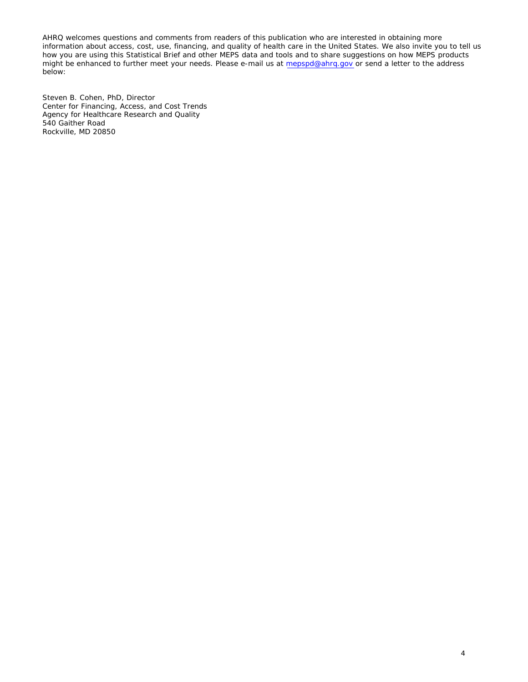AHRQ welcomes questions and comments from readers of this publication who are interested in obtaining more information about access, cost, use, financing, and quality of health care in the United States. We also invite you to tell us how you are using this Statistical Brief and other MEPS data and tools and to share suggestions on how MEPS products might be enhanced to further meet your needs. Please e-mail us at [mepspd@ahrq.gov](mailto:mepspd@ahrq.gov) or send a letter to the address below:

Steven B. Cohen, PhD, Director Center for Financing, Access, and Cost Trends Agency for Healthcare Research and Quality 540 Gaither Road Rockville, MD 20850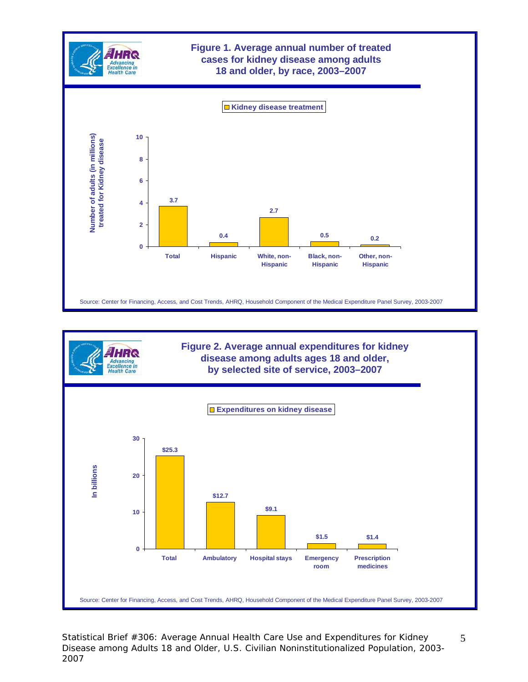



Statistical Brief #306: Average Annual Health Care Use and Expenditures for Kidney Disease among Adults 18 and Older, U.S. Civilian Noninstitutionalized Population, 2003- 2007

5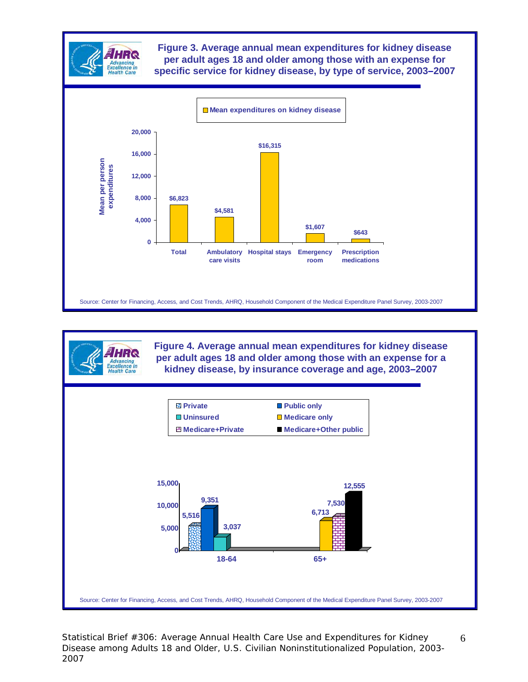

**Figure 3. Average annual mean expenditures for kidney disease per adult ages 18 and older among those with an expense for specific service for kidney disease, by type of service, 2003–2007**



**Figure 4. Average annual mean expenditures for kidney disease per adult ages 18 and older among those with an expense for a kidney disease, by insurance coverage and age, 2003–2007**



Statistical Brief #306: Average Annual Health Care Use and Expenditures for Kidney Disease among Adults 18 and Older, U.S. Civilian Noninstitutionalized Population, 2003- 2007